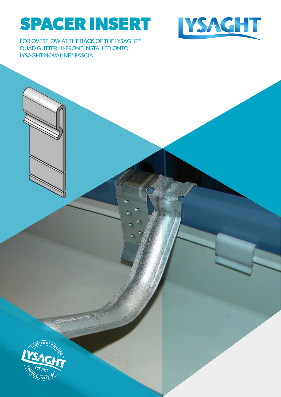# **SPACER INSERT**



FOR OVERFLOW AT THE BACK OF THE LYSAGHT® QUAD GUTTER HI-FRONT INSTALLED ONTO LYSAGHT NOVALINE® FASCIA